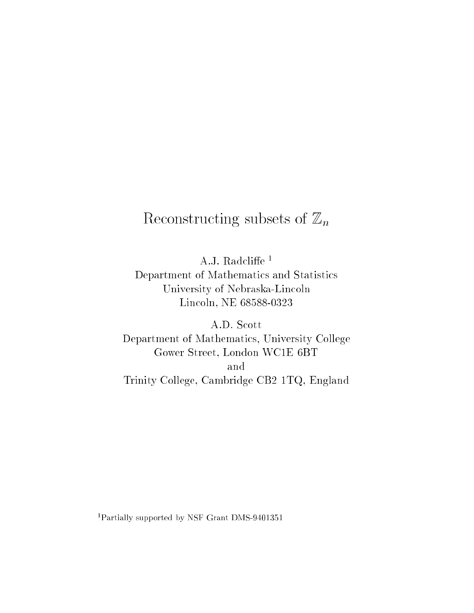# $\mathbb{R}$  and  $\mathbb{R}$  subsets of  $\mathbb{R}$  subsets of  $\mathbb{R}$  and  $\mathbb{R}$  and  $\mathbb{R}$  and  $\mathbb{R}$  and  $\mathbb{R}$  and  $\mathbb{R}$  and  $\mathbb{R}$  and  $\mathbb{R}$  and  $\mathbb{R}$  and  $\mathbb{R}$  and  $\mathbb{R}$  and  $\mathbb{R}$  and  $\mathbb{R}$  and

A.J. Radcliffe $^1$ Department of Mathematics and Statistics University of Nebraska-Lincoln Lincoln, NE 68588-0323

A.D. Scott Department of Mathematics, University College Gower Street, London WC1E 6BT and Trinity College, Cambridge CB2 1TQ, England

<sup>1</sup> Partially supported by NSF Grant DMS-9401351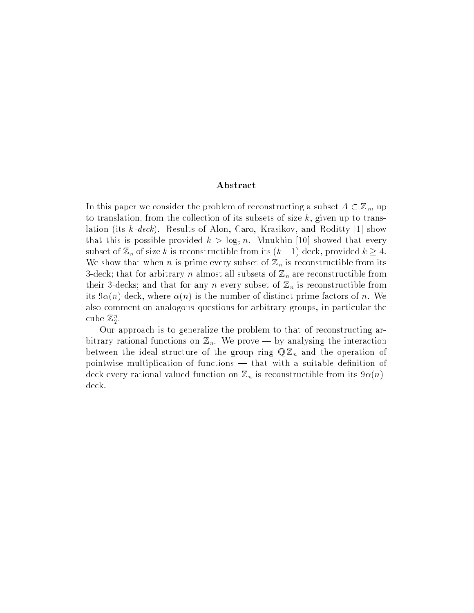#### Abstract

In this paper we consider the problem of reconstructing a subset  $A \subset \mathbb{Z}_n$ , up to translation, from the collection of its subsets of size  $k$ , given up to translation (its k-deck). Results of Alon, Caro, Krasikov, and Roditty [1] show that this is possible provided  $k > \log_2 n$ . Mnukhin [10] showed that every subset of  $\mathbb{Z}_n$  of size k is reconstructible from its  $(k-1)$ -deck, provided  $k \geq 4$ . We show that when n is prime every subset of  $\mathbb{Z}_n$  is reconstructible from its 3-deck; that for arbitrary *n* almost all subsets of  $\mathbb{Z}_n$  are reconstructible from their 3-decks; and that for any n every subset of  $\mathbb{Z}_n$  is reconstructible from its  $9\alpha(n)$ -deck, where  $\alpha(n)$  is the number of distinct prime factors of n. We also comment on analogous questions for arbitrary groups, in particular the cube  $\mathbb{Z}_2.$ 

Our approach is to generalize the problem to that of reconstructing arbitrary rational functions on  $\mathbb{Z}_n$ . We prove — by analysing the interaction between the ideal structure of the group ring  $\mathbb{Q} \mathbb{Z}_n$  and the operation of pointwise multiplication of functions  $-$  that with a suitable definition of deck every rational-valued function on  $\mathbb{Z}_n$  is reconstructible from its  $9\alpha(n)$ deck.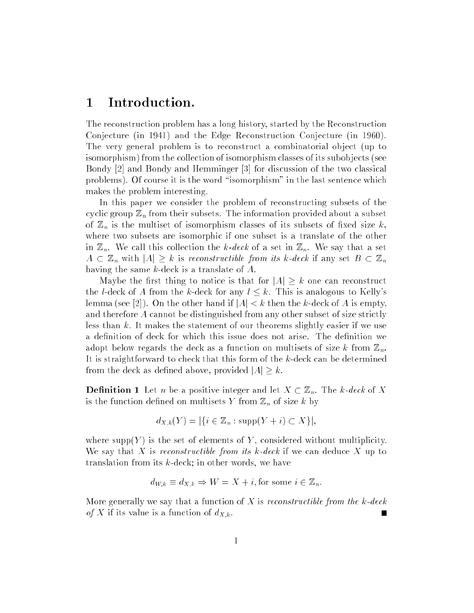#### 1 Introduction.

The reconstruction problem has a long history, started by the Reconstruction Conjecture (in 1941) and the Edge Reconstruction Conjecture (in 1960). The very general problem is to reconstruct a combinatorial object (up to isomorphism) from the collection of isomorphism classes of its subob jects (see Bondy [2] and Bondy and Hemminger [3] for discussion of the two classical problems). Of course it is the word \isomorphism" in the last sentence which makes the problem interesting.

In this paper we consider the problem of reconstructing subsets of the cyclic group  $\mathbb{Z}_n$  from their subsets. The information provided about a subset of  $\mathbb{Z}_n$  is the multiset of isomorphism classes of its subsets of fixed size k, where two subsets are isomorphic if one subset is a translate of the other in  $\mathbb{Z}_n$ . We call this collection the k-deck of a set in  $\mathbb{Z}_n$ . We say that a set  $A \subset \mathbb{Z}_n$  with  $|A| \geq k$  is reconstructible from its k-deck if any set  $B \subset \mathbb{Z}_n$ having the same k-deck is a translate of A.

Maybe the first thing to notice is that for  $|A| \geq k$  one can reconstruct the l-deck of A from the k-deck for any  $l \leq k$ . This is analogous to Kelly's lemma (see [2]). On the other hand if  $|A| < k$  then the k-deck of A is empty, and therefore A cannot be distinguished from any other subset of size strictly less than k. It makes the statement of our theorems slightly easier if we use a definition of deck for which this issue does not arise. The definition we adopt below regards the deck as a function on multisets of size k from  $\mathbb{Z}_n$ . It is straightforward to check that this form of the k-deck can be determined from the deck as defined above, provided  $|A| \geq k$ .

**Definition 1** Let n be a positive integer and let  $X \subset \mathbb{Z}_n$ . The k-deck of X is the function defined on multisets Y from  $\mathbb{Z}_n$  of size k by

$$
d_{X,k}(Y) = |\{i \in \mathbb{Z}_n : \text{supp}(Y + i) \subset X\}|,
$$

where supp $(Y)$  is the set of elements of Y, considered without multiplicity. We say that X is reconstructible from its k-deck if we can deduce  $X$  up to translation from its k-deck; in other words, we have

$$
d_{W,k} \equiv d_{X,k} \Rightarrow W = X + i
$$
, for some  $i \in \mathbb{Z}_n$ .

More generally we say that a function of X is reconstructible from the k-deck of X if its value is a function of  $d_{X,k}$ .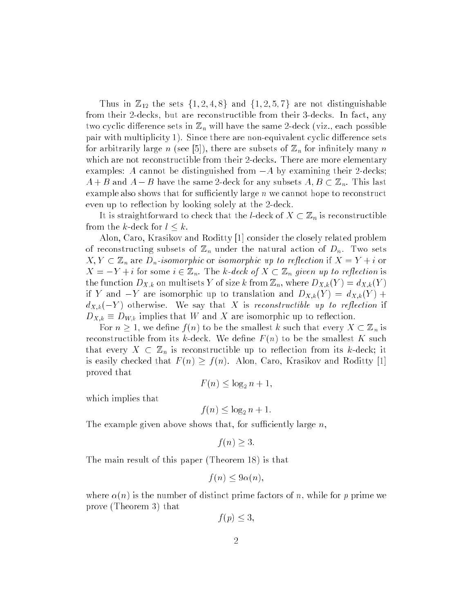Thus in  $\mathbb{Z}_{12}$  the sets  $\{1, 2, 4, 8\}$  and  $\{1, 2, 5, 7\}$  are not distinguishable from their 2-decks, but are reconstructible from their 3-decks. In fact, any two cyclic difference sets in  $\mathbb{Z}_n$  will have the same 2-deck (viz., each possible pair with multiplicity 1). Since there are non-equivalent cyclic difference sets for arbitrarily large n (see [5]), there are subsets of  $\mathbb{Z}_n$  for infinitely many n which are not reconstructible from their 2-decks. There are more elementary examples: A cannot be distinguished from  $-A$  by examining their 2-decks;  $A + B$  and  $A - B$  have the same 2-deck for any subsets  $A, B \subset \mathbb{Z}_n$ . This last example also shows that for sufficiently large  $n$  we cannot hope to reconstruct even up to reflection by looking solely at the 2-deck.

It is straightforward to check that the *l*-deck of  $X \subset \mathbb{Z}_n$  is reconstructible from the k-deck for  $l \leq k$ .

Alon, Caro, Krasikov and Roditty [1] consider the closely related problem of reconstructing subsets of  $\mathbb{Z}_n$  under the natural action of  $D_n$ . Two sets  $X, Y \subset \mathbb{Z}_n$  are  $D_n$ -isomorphic or isomorphic up to reflection if  $X = Y + i$  or  $X = -Y + i$  for some  $i \in \mathbb{Z}_n$ . The k-deck of  $X \subset \mathbb{Z}_n$  given up to reflection is the function  $D_{X,k}$  on multisets Y of size k from  $\mathbb{Z}_n$ , where  $D_{X,k}(Y) = d_{X,k}(Y)$ if Y and  $-Y$  are isomorphic up to translation and  $D_{X,k}(Y) = d_{X,k}(Y) +$  $d_{X,k}(-Y)$  otherwise. We say that X is reconstructible up to reflection if  $D_{X,k} \equiv D_{W,k}$  implies that W and X are isomorphic up to reflection.

For  $n \geq 1$ , we define  $f(n)$  to be the smallest k such that every  $X \subset \mathbb{Z}_n$  is reconstructible from its k-deck. We define  $F(n)$  to be the smallest K such that every  $X \subset \mathbb{Z}_n$  is reconstructible up to reflection from its k-deck; it is easily checked that  $F(n) \ge f(n)$ . Alon, Caro, Krasikov and Roditty [1] proved that

$$
F(n) \le \log_2 n + 1,
$$

which implies that

$$
f(n) \le \log_2 n + 1.
$$

The example given above shows that, for sufficiently large  $n$ .

$$
f(n) \geq 3.
$$

The main result of this paper (Theorem 18) is that

$$
f(n) \le 9\alpha(n),
$$

where  $\alpha(n)$  is the number of distinct prime factors of n, while for p prime we prove (Theorem 3) that

$$
f(p) \leq 3,
$$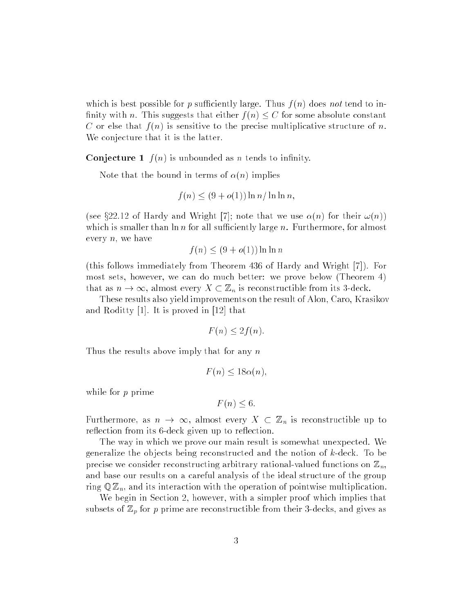which is best possible for p sufficiently large. Thus  $f(n)$  does not tend to infinity with n. This suggests that either  $f(n) \leq C$  for some absolute constant C or else that  $f(n)$  is sensitive to the precise multiplicative structure of n. We conjecture that it is the latter.

**Conjecture 1**  $f(n)$  is unbounded as n tends to infinity.

Note that the bound in terms of  $\alpha(n)$  implies

$$
f(n) \le (9 + o(1)) \ln n / \ln \ln n,
$$

(see §22.12 of Hardy and Wright [7]; note that we use  $\alpha(n)$  for their  $\omega(n)$ ) which is smaller than  $\ln n$  for all sufficiently large n. Furthermore, for almost every  $n$ , we have

$$
f(n) \le (9 + o(1)) \ln \ln n
$$

(this follows immediately from Theorem 436 of Hardy and Wright [7]). For most sets, however, we can do much better: we prove below (Theorem 4) that as  $n \to \infty$ , almost every  $X \subset \mathbb{Z}_n$  is reconstructible from its 3-deck.

These results also yield improvements on the result of Alon, Caro, Krasikov and Roditty [1]. It is proved in [12] that

$$
F(n) \le 2f(n).
$$

Thus the results above imply that for any n

$$
F(n) \le 18\alpha(n),
$$

while for p prime

$$
F(n) \leq 6.
$$

Furthermore, as  $n \to \infty$ , almost every  $X \subset \mathbb{Z}_n$  is reconstructible up to reflection from its 6-deck given up to reflection.

The way in which we prove our main result is somewhat unexpected. We generalize the objects being reconstructed and the notion of  $k$ -deck. To be precise we consider reconstructing arbitrary rational-valued functions on  $\mathbb{Z}_n$ . and base our results on a careful analysis of the ideal structure of the group ring  $\mathbb{Q} \mathbb{Z}_n$ , and its interaction with the operation of pointwise multiplication.

We begin in Section 2, however, with a simpler proof which implies that subsets of  $\mathbb{Z}_p$  for p prime are reconstructible from their 3-decks, and gives as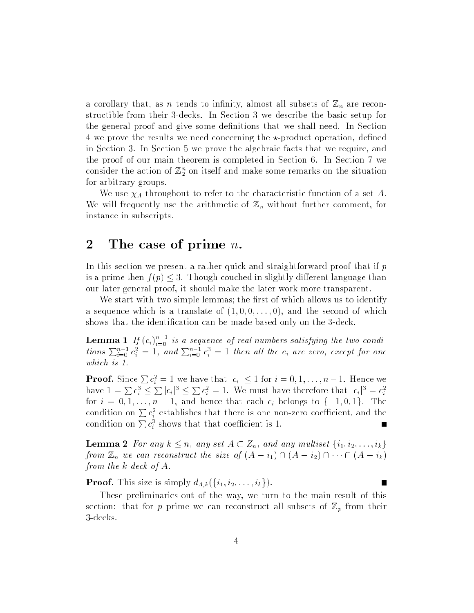a corollary that, as *n* tends to infinity, almost all subsets of  $\mathbb{Z}_n$  are reconstructible from their 3-decks. In Section 3 we describe the basic setup for the general proof and give some definitions that we shall need. In Section 4 we prove the results we need concerning the  $\star$ -product operation, defined in Section 3. In Section 5 we prove the algebraic facts that we require, and the proof of our main theorem is completed in Section 6. In Section 7 we consider the action of  $\mathbb{Z}_2^{\times}$  on itself and make some remarks on the situation for arbitrary groups.

We use  $\chi_A$  throughout to refer to the characteristic function of a set A. We will frequently use the arithmetic of  $\mathbb{Z}_n$  without further comment, for instance in subscripts.

## 2 The case of prime  $n$ .

In this section we present a rather quick and straightforward proof that if  $p$ is a prime then  $f(p) \leq 3$ . Though couched in slightly different language than our later general proof, it should make the later work more transparent.

We start with two simple lemmas; the first of which allows us to identify a sequence which is a translate of  $(1,0,0,\ldots,0)$ , and the second of which shows that the identication can be made based only on the 3-deck.

**Lemma 1** If  $(c_i)_{i=0}^{n-1}$  is a sequence of real numbers satisfying the two conditions  $\sum_{i=0}^{n-1} c_i^2 = 1$ , and  $\sum_{i=0}^{n-1} c_i^3 = 1$  then all the  $c_i$  are zero, except for one which is 1.

**Proof.** Since  $\sum c_i^2 = 1$  we have that  $|c_i| \leq 1$  for  $i = 0, 1, ..., n - 1$ . Hence we have  $1 = \sum c_i^3 \leq \sum |c_i|^3 \leq \sum c_i^2 = 1$ . We must have therefore that  $|c_i|^3 = c_i^2$ for  $i = 0, 1, \ldots, n$  is that there there each  $\sigma_i$  belongs to finitely the  $1$ condition on  $\sum c_i^2$  establishes that there is one non-zero coefficient, and the condition on  $\sum c_i^3$  shows that that coefficient is 1.

**Lemma 2** For any  $k \leq n$ , any set  $A \subset Z_n$ , and any multiset  $\{i_1, i_2, \ldots, i_k\}$ from  $\mathbb{Z}_n$  we can reconstruct the size of  $(A - i_1) \cap (A - i_2) \cap \cdots \cap (A - i_k)$ from the k-deck of A.

**Proof.** This size is simply  $d_{A,k}(\{i_1,i_2,\ldots,i_k\})$ .

These preliminaries out of the way, we turn to the main result of this section: that for p prime we can reconstruct all subsets of  $\mathbb{Z}_p$  from their 3-decks.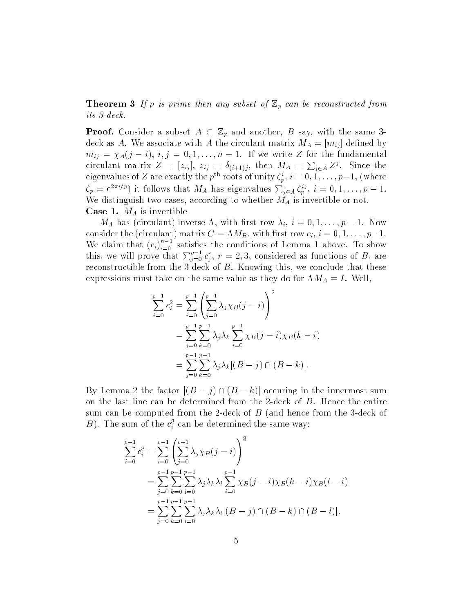**Theorem 3** If p is prime then any subset of  $\mathbb{Z}_p$  can be reconstructed from its 3-deck.

**Proof.** Consider a subset  $A \subset \mathbb{Z}_p$  and another, B say, with the same 3deck as A. We associate with A the circulant matrix  $M_A = [m_{ij}]$  defined by  $m_{ij} = \chi_A(j - i), i, j = 0, 1, \ldots, n - 1$ . If we write Z for the fundamental circulant matrix  $Z = [z_{ij}], z_{ij} = \delta_{(i+1)j}$ , then  $M_A = \sum_{i \in A} Z^j$ . Since the eigenvalues of Z are exactly the p<sup>ox</sup> roots of unity  $\zeta_p$ ,  $i = 0, 1, \ldots, p-1$ , (where  $\zeta_p = e^{2\pi i/p}$  it follows that  $M_A$  has eigenvalues  $\sum_{i \in A} \zeta_i^i$ ,  $i = 0, 1, \ldots, p - 1$ . We distinguish two cases, according to whether  $M_A$  is invertible or not. **Case 1.**  $M_A$  is invertible

 $M_A$  has (circulant) inverse  $\Lambda$ , with first row  $\lambda_i$ ,  $i = 0, 1, \ldots, p - 1$ . Now consider the (circulant) matrix  $C = \Lambda M_B$ , with first row  $c_i$ ,  $i = 0, 1, \ldots, p-1$ . We claim that  $(c_i)_{i=0}$  satisfies the conditions of Lemma 1 above. To show this, we will prove that  $\sum_{j=0}^{p-1} c_j^r$ ,  $r = 2,3$ , considered as functions of B, are reconstructible from the 3-deck of B. Knowing this, we conclude that these expressions must take on the same value as they do for  $\Lambda M_A = I$ . Well,

$$
\sum_{i=0}^{p-1} c_i^2 = \sum_{i=0}^{p-1} \left( \sum_{j=0}^{p-1} \lambda_j \chi_B(j-i) \right)^2
$$
  
= 
$$
\sum_{j=0}^{p-1} \sum_{k=0}^{p-1} \lambda_j \lambda_k \sum_{i=0}^{p-1} \chi_B(j-i) \chi_B(k-i)
$$
  
= 
$$
\sum_{j=0}^{p-1} \sum_{k=0}^{p-1} \lambda_j \lambda_k |(B-j) \cap (B-k)|.
$$

By Lemma 2 the factor  $|(B - j) \cap (B - k)|$  occuring in the innermost sum on the last line can be determined from the 2-deck of B. Hence the entire sum can be computed from the 2-deck of  $B$  (and hence from the 3-deck of  $B$ ). The sum of the  $c_i^*$  can be determined the same way:

$$
\sum_{i=0}^{p-1} c_i^3 = \sum_{i=0}^{p-1} \left( \sum_{j=0}^{p-1} \lambda_j \chi_B(j-i) \right)^3
$$
  
= 
$$
\sum_{j=0}^{p-1} \sum_{k=0}^{p-1} \sum_{l=0}^{p-1} \lambda_j \lambda_k \lambda_l \sum_{i=0}^{p-1} \chi_B(j-i) \chi_B(k-i) \chi_B(l-i)
$$
  
= 
$$
\sum_{j=0}^{p-1} \sum_{k=0}^{p-1} \sum_{l=0}^{p-1} \lambda_j \lambda_k \lambda_l |(B-j) \cap (B-k) \cap (B-l)|.
$$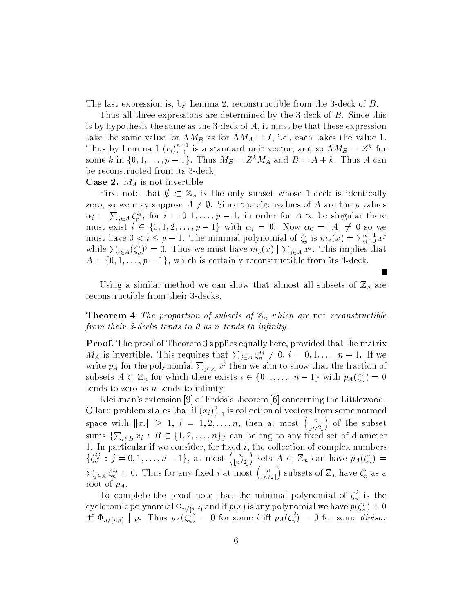The last expression is, by Lemma 2, reconstructible from the 3-deck of B.

Thus all three expressions are determined by the 3-deck of B. Since this is by hypothesis the same as the 3-deck of A, it must be that these expression take the same value for  $\Lambda M_B$  as for  $\Lambda M_A = I$ , i.e., each takes the value 1. Thus by Lemma 1  $(c_i)_{i=0}$  is a standard unit vector, and so  $\Lambda M_B = Z^{\kappa}$  for some k in  $\{0, 1, \ldots, p-1\}$ . Thus  $M_B = Z^k M_A$  and  $B = A + k$ . Thus A can be reconstructed from its 3-deck.

**Case 2.**  $M_A$  is not invertible

First note that  $\emptyset \subset \mathbb{Z}_n$  is the only subset whose 1-deck is identically zero, so we may suppose  $A \neq \emptyset$ . Since the eigenvalues of A are the p values  $\alpha_i = \sum_{i \in A} \zeta_p^{ij}$ , for  $i = 0, 1, \ldots, p - 1$ , in order for A to be singular there must exist  $i \in \{0, 1, 2, \ldots, p-1\}$  with  $\alpha_i = 0$ . Now  $\alpha_0 = |A| \neq 0$  so we must have  $0 < i \leq p-1$ . The minimal polynomial of  $\zeta_p^i$  is  $m_p(x) = \sum_{i=0}^{p-1} x^j$ while  $\sum_{i\in A}(\zeta_i^s)^j=0$ . Thus we must have  $m_p(x)\mid\sum_{i\in A}x^j$ . This implies that  $A = \{0, 1, \ldots, p-1\}$ , which is certainly reconstructible from its 3-deck.

Using a similar method we can show that almost all subsets of  $\mathbb{Z}_n$  are reconstructible from their 3-decks.

**Theorem 4** The proportion of subsets of  $\mathbb{Z}_n$  which are not reconstructible from their 3-decks tends to  $\theta$  as n tends to infinity.

**Proof.** The proof of Theorem 3 applies equally here, provided that the matrix  $M_A$  is invertible. This requires that  $\sum_{i\in A}\zeta_n^{ij}\neq 0, i=0,1,\ldots,n-1$ . If we write  $p_A$  for the polynomial  $\sum_{i \in A} x^j$  then we aim to show that the fraction of subsets  $A \subseteq \mathbb{Z}_n$  for which there exists  $i \in \{0, 1, \ldots, n-1\}$  with  $p_A(\zeta_n) = 0$ tends to zero as  $n$  tends to infinity.

Kleitman's extension [9] of Erdős's theorem [6] concerning the Littlewood-Offord problem states that if  $(x_i)$ , space with  $||x_i|| \geq 1$ ,  $i = 1, 2, ..., n$ , then at most  $\binom{n}{k}$  of the subset bn=2c sums  $\sum_{i\in B} x_i : B \subset \{1, 2, ..., n\}$  can belong to any fixed set of diameter 1. In particular if we consider, for fixed  $i$ , the collection of complex numbers  $\{\zeta_n^{ij} : j = 0, 1, \ldots, n-1\}, \text{ at most } \binom{n}{\lfloor n \rfloor}$ bn=2c  $\sim$ sets  $A \subset \mathbb{Z}_n$  can have  $p_{A}(\zeta_n) =$ <sup>P</sup>  $i \in A \, \zeta_n^{ij} = 0$ . Thus for any fixed i at most  $\binom{n}{\lfloor n/2 \rfloor}$  $\cdots$  subsets of  $\mathbb{Z}_n$  have  $\zeta_n$  as a root of  $p_A$ .

To complete the proof note that the minimal polynomial of  $\zeta_n$  is the cyclotomic polynomial  $\Psi_{n/(n,i)}$  and if  $p(x)$  is any polynomial we have  $p(\zeta_n)=0$ in  $\Psi_{n/(n,i)}$  | p. Thus  $p_A(\zeta_n) = 0$  for some  $i$  in  $p_A(\zeta_n) = 0$  for some *arrisor*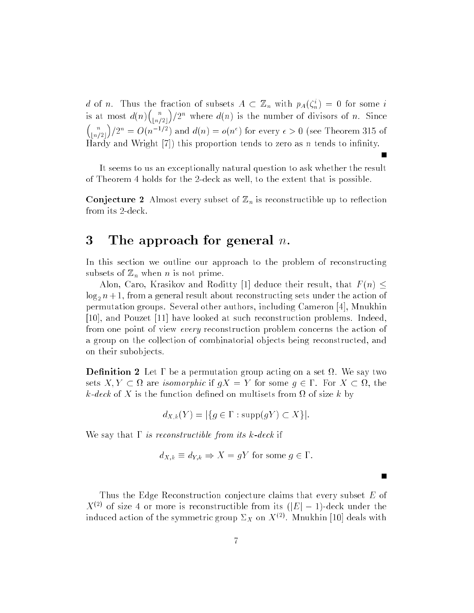a of n. Thus the fraction of subsets  $A \subseteq \mathbb{Z}_n$  with  $p_A(\zeta_n) = 0$  for some i is at most d(n)  $\binom{}{}$ bn=2c is at most  $d(n) {n \choose \lfloor n/2 \rfloor} / 2^n$  where  $d(n)$  is the number of divisors of n. Since bn=2c  $\left(\frac{2n}{2}\right) = O(n^{-1/2})$  and  $d(n) = o(n^{\epsilon})$  for every  $\epsilon > 0$  (see Theorem 315 of Hardy and Wright  $[7]$ ) this proportion tends to zero as n tends to infinity.

It seems to us an exceptionally natural question to ask whether the result of Theorem 4 holds for the 2-deck as well, to the extent that is possible.

**Conjecture 2** Almost every subset of  $\mathbb{Z}_n$  is reconstructible up to reflection from its 2-deck.

#### 3 The approach for general  $n$ .

In this section we outline our approach to the problem of reconstructing subsets of  $\mathbb{Z}_n$  when *n* is not prime.

Alon, Caro, Krasikov and Roditty [1] deduce their result, that  $F(n) \leq$  $\log_2 n+1$ , from a general result about reconstructing sets under the action of permutation groups. Several other authors, including Cameron [4], Mnukhin [10], and Pouzet [11] have looked at such reconstruction problems. Indeed, from one point of view every reconstruction problem concerns the action of a group on the collection of combinatorial objects being reconstructed, and on their subobjects.

**Definition 2** Let  $\Gamma$  be a permutation group acting on a set  $\Omega$ . We say two sets is  $\epsilon$  is more transity that is given a some group  $\epsilon$  is a some  $\epsilon$  and then k-deck of X is the function dened on multisets from of size k by

$$
d_{X,k}(Y) = |\{ g \in \Gamma : \text{supp}(gY) \subset X \}|.
$$

We say that  $\Gamma$  is reconstructible from its k-deck if

$$
d_{X,k} \equiv d_{Y,k} \Rightarrow X = gY
$$
 for some  $g \in \Gamma$ .

П

Thus the Edge Reconstruction conjecture claims that every subset E of  $X^{(2)}$  of size 4 or more is reconstructible from its  $(|E|-1)$ -deck under the induced action of the symmetric group  $\triangle_X$  on  $A^{<\times}$ . Mnukhin [10] deals with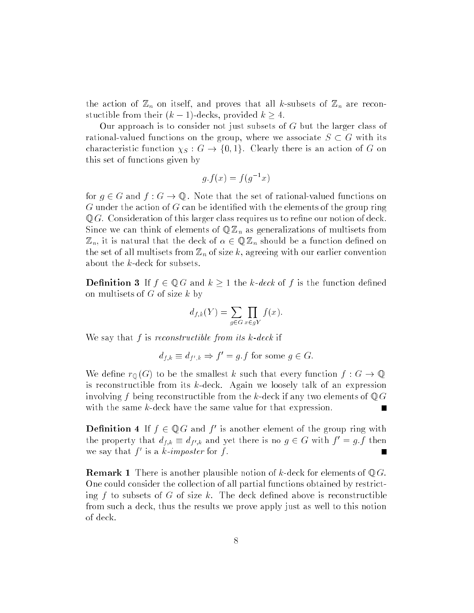the action of  $\mathbb{Z}_n$  on itself, and proves that all k-subsets of  $\mathbb{Z}_n$  are reconstuctible from their  $(k-1)$ -decks, provided  $k \geq 4$ .

Our approach is to consider not just subsets of G but the larger class of rational-valued functions on the group, where we associate  $S \subset G$  with its characteristic function  $\chi_S : G \to \{0,1\}$ . Clearly there is an action of G on this set of functions given by

$$
g.f(x) = f(g^{-1}x)
$$

for  $g \in G$  and  $f : G \to \mathbb{Q}$ . Note that the set of rational-valued functions on  $G$  under the action of  $G$  can be identified with the elements of the group ring  $\mathbb{Q} G$ . Consideration of this larger class requires us to refine our notion of deck. Since we can think of elements of  $\mathbb{Q}Z_n$  as generalizations of multisets from  $\mathbb{Z}_n$ , it is natural that the deck of  $\alpha \in \mathbb{QZ}_n$  should be a function defined on the set of all multisets from  $\mathbb{Z}_n$  of size k, agreeing with our earlier convention about the k-deck for subsets.

**Definition 3** If  $f \in \mathbb{Q}$  G and  $k \geq 1$  the k-deck of f is the function defined on multisets of  $G$  of size  $k$  by

$$
d_{f,k}(Y) = \sum_{g \in G} \prod_{x \in gY} f(x).
$$

We say that f is reconstructible from its  $k$ -deck if

 $a_{f,k} \equiv a_{f',k} \Rightarrow f = g.f$  for some  $g \in G$ .

We define  $r_{\mathbb{Q}}(G)$  to be the smallest k such that every function  $f: G \to \mathbb{Q}$ is reconstructible from its k-deck. Again we loosely talk of an expression involving f being reconstructible from the k-deck if any two elements of  $\mathbb{Q} G$ with the same k-deck have the same value for that expression. П

**Definition 4** If  $f \in \mathbb{Q} G$  and f' is another element of the group ring with the property that  $a_{f,k} = a_{f',k}$  and yet there is no  $g \in G$  with  $f = g.f$  then  $\overline{\phantom{a}}$ we say that  $f_1$  is a  $\kappa$ -imposter for f.

**Remark 1** There is another plausible notion of k-deck for elements of  $\mathbb{Q} G$ . One could consider the collection of all partial functions obtained by restricting f to subsets of G of size k. The deck defined above is reconstructible from such a deck, thus the results we prove apply just as well to this notion of deck.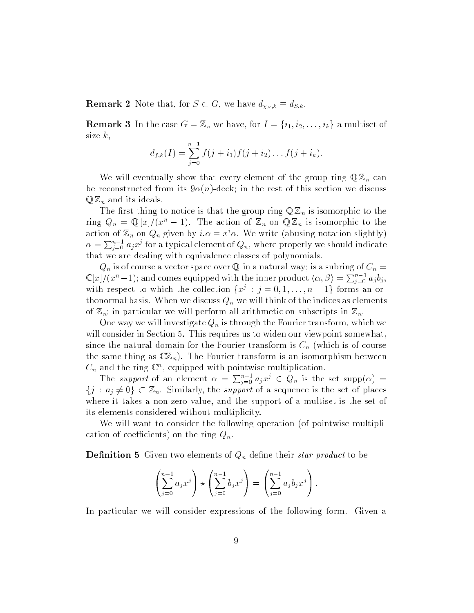**Remark 2** Note that, for  $S \subset G$ , we have  $d_{\chi_S,k} \equiv d_{S,k}$ 

**Remark 3** In the case  $G = \mathbb{Z}_n$  we have, for  $I = \{i_1, i_2, \ldots, i_k\}$  a multiset of size  $k$ ,

$$
d_{f,k}(I) = \sum_{j=0}^{n-1} f(j + i_1) f(j + i_2) \dots f(j + i_k).
$$

We will eventually show that every element of the group ring  $\mathbb{Q}\mathbb{Z}_n$  can be reconstructed from its  $9\alpha(n)$ -deck; in the rest of this section we discuss  $\mathbb{Q}\mathbb{Z}_n$  and its ideals.

The first thing to notice is that the group ring  $\mathbb{Q}\mathbb{Z}_n$  is isomorphic to the ring  $Q_n = \mathbb{Q}[x]/(x^n - 1)$ . The action of  $\mathbb{Z}_n$  on  $\mathbb{Q} \mathbb{Z}_n$  is isomorphic to the action of  $\mathbb{Z}_n$  on  $Q_n$  given by  $i.\alpha = x\cdots$  we write (abusing notation slightly)  $\alpha = \sum_{i=0}^{n-1} a_i x^i$  for a typical element of  $Q_n$ , where properly we should indicate that we are dealing with equivalence classes of polynomials.

 $Q_n$  is of course a vector space over  $\mathbb Q$  in a natural way; is a subring of  $C_n =$  $\mathbb{C}[x]/(x^n-1)$ ; and comes equipped with the inner product  $\langle \alpha, \beta \rangle = \sum_{i=0}^{n-1} a_j b_i$ , with respect to which the collection  $\{x^i : j = 0, 1, \ldots, n-1\}$  forms an orthonormal basis. When we discuss  $Q_n$  we will think of the indices as elements of  $\mathbb{Z}_n$ ; in particular we will perform all arithmetic on subscripts in  $\mathbb{Z}_n$ .

One way we will investigate  $Q_n$  is through the Fourier transform, which we will consider in Section 5. This requires us to widen our viewpoint somewhat, since the natural domain for the Fourier transform is  $C_n$  (which is of course the same thing as  $\mathbb{C} \mathbb{Z}_n$ . The Fourier transform is an isomorphism between  $\mathcal{C}_n$  and the ring  $\mathbb{C}^n$ , equipped with pointwise multiplication.

The support of an element  $\alpha = \sum_{i=0}^{n-1} a_i x^i \in Q_n$  is the set supp $(\alpha)$  $\{j : a_j \neq 0\} \subset \mathbb{Z}_n$ . Similarly, the *support* of a sequence is the set of places where it takes a non-zero value, and the support of a multiset is the set of its elements considered without multiplicity.

We will want to consider the following operation (of pointwise multiplication of coefficients) on the ring  $Q_n$ .

**Definition 5** Given two elements of  $Q_n$  define their *star product* to be

$$
\left(\sum_{j=0}^{n-1} a_j x^j\right) \star \left(\sum_{j=0}^{n-1} b_j x^j\right) = \left(\sum_{j=0}^{n-1} a_j b_j x^j\right).
$$

In particular we will consider expressions of the following form. Given a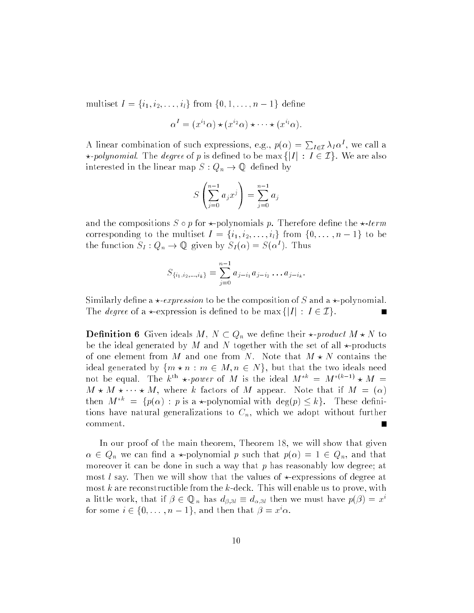multiset  $I = \{i_1, i_2, \ldots, i_l\}$  from  $\{0, 1, \ldots, n-1\}$  define

$$
\alpha^{I} = (x^{i_1}\alpha) \star (x^{i_2}\alpha) \star \cdots \star (x^{i_l}\alpha).
$$

 $\mathbf{A}$  is a linear combination of such expressions, e.g., p()  $\mathbf{A}$  $\sum_{I\in\mathcal{I}}\lambda_I\alpha^I,$  we call a \*-polynomial. The degree of p is defined to be max  $\{|I| : I \in \mathcal{I}\}\$ . We are also interested in the linear map  $S: Q_n \to \mathbb{Q}$  defined by

$$
S\left(\sum_{j=0}^{n-1} a_j x^j\right) = \sum_{j=0}^{n-1} a_j
$$

and the compositions  $S \circ p$  for  $\star$ -polynomials p. Therefore define the  $\star$ -term corresponding to the multiset  $I = \{i_1, i_2, \ldots, i_l\}$  from  $\{0, \ldots, n-1\}$  to be the function  $S_I: Q_n \to \mathbb{Q}$  given by  $S_I(\alpha) = S(\alpha^*)$ . Thus

$$
S_{\{i_1,i_2,\dots,i_k\}} = \sum_{j=0}^{n-1} a_{j-i_1} a_{j-i_2} \dots a_{j-i_k}.
$$

Similarly define a  $\star$ -expression to be the composition of S and a  $\star$ -polynomial. The *degree* of a  $\star$ -expression is defined to be max  $\{|I| : I \in \mathcal{I}\}.$ 

**Definition 6** Given ideals  $M, N \subset Q_n$  we define their  $\star$ -product  $M \star N$  to be the ideal generated by M and N together with the set of all  $\star$ -products of one element from M and one from N. Note that  $M \star N$  contains the ideal generated by  $\{m \star n : m \in M, n \in N\}$ , but that the two ideals need not be equal. The  $k^{\prime\prime} \star \text{-power}$  of M is the ideal  $M^{\prime\prime\prime} = M^{\prime\prime}$   $\star$   $M =$  $M \star M \star \cdots \star M$ , where k factors of M appear. Note that if  $M = (\alpha)$ then  $M^{*k} = \{p(\alpha) : p \text{ is a *-polynomial with } \deg(p) \leq k\}.$  These definitions have natural generalizations to  $C_n$ , which we adopt without further comment. г

In our proof of the main theorem, Theorem 18, we will show that given  $\alpha \in Q_n$  we can find a  $\star$ -polynomial p such that  $p(\alpha) = 1 \in Q_n$ , and that moreover it can be done in such a way that  $p$  has reasonably low degree; at most l say. Then we will show that the values of  $\star$ -expressions of degree at most k are reconstructible from the k-deck. This will enable us to prove, with a in the work, that if  $\rho\in \mathbb{Q}_n$  has  $a_{\beta,3l}=a_{\alpha,3l}$  then we must have  $p(\rho)=x^{\beta}$ for some  $i \in \{0, \ldots, n-1\}$ , and then that  $\rho = x \alpha$ .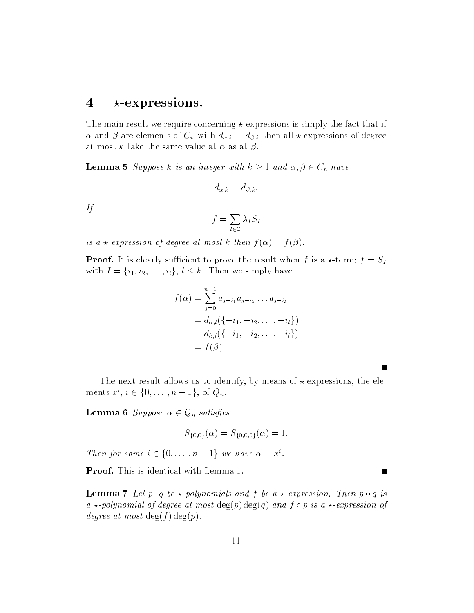#### $4 \rightarrow$ -expressions.

The main result we require concerning  $\star$ -expressions is simply the fact that if  $\alpha$  and  $\beta$  are elements of  $C_n$  with  $d_{\alpha,k} \equiv d_{\beta,k}$  then all  $\star$ -expressions of degree at most k take the same value at  $\alpha$  as at  $\beta$ .

**Lemma 5** Suppose k is an integer with  $k \geq 1$  and  $\alpha, \beta \in C_n$  have

$$
d_{\alpha,k}\equiv d_{\beta,k}.
$$

If

$$
f = \sum_{I \in \mathcal{I}} \lambda_I S_I
$$

is a  $\star$ -expression of degree at most k then  $f(\alpha) = f(\beta)$ .

**Proof.** It is clearly sufficient to prove the result when f is a  $\star$ -term;  $f = S_I$ with  $I = \{i_1, i_2, \ldots, i_l\}, l \leq k$ . Then we simply have

$$
f(\alpha) = \sum_{j=0}^{n-1} a_{j-i_1} a_{j-i_2} \dots a_{j-i_l}
$$
  
=  $d_{\alpha,l}(\{-i_1, -i_2, \dots, -i_l\})$   
=  $d_{\beta,l}(\{-i_1, -i_2, \dots, -i_l\})$   
=  $f(\beta)$ 

The next result allows us to identify, by means of  $\star$ -expressions, the elements  $x, i \in \{0, \ldots, n-1\}$ , or  $Q_n$ .

**Lemma 6** Suppose  $\alpha \in Q_n$  satisfies

$$
S_{\{0,0\}}(\alpha) = S_{\{0,0,0\}}(\alpha) = 1.
$$

Then for some  $i \in \{0, \ldots, n-1\}$  we have  $\alpha = x$ .

Proof. This is identical with Lemma 1.

**Lemma 7** Let p, q be  $\star$ -polynomials and f be a  $\star$ -expression. Then p  $\circ$  q is a  $\star$ -polynomial of degree at most  $\deg(p) \deg(q)$  and f  $\circ$  p is a  $\star$ -expression of degree at most  $\deg(f) \deg(p)$ .

 $\blacksquare$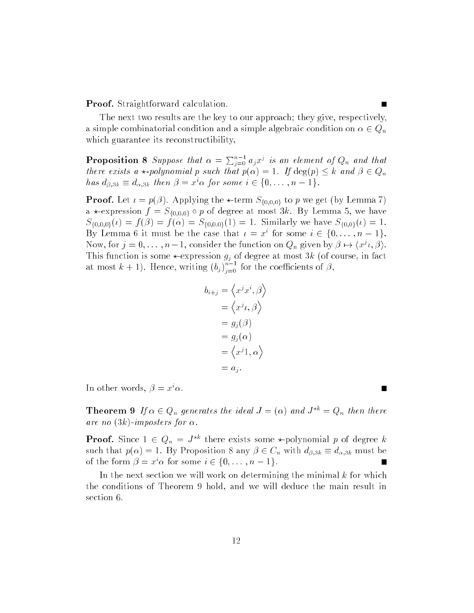Proof. Straightforward calculation.

The next two results are the key to our approach; they give, respectively, a simple combinatorial condition and a simple algebraic condition on  $\alpha \in Q_n$ which guarantee its reconstructibility,

**Proposition 8** Suppose that  $\alpha = \sum_{i=0}^{n-1} a_i x^j$  is an element of  $Q_n$  and that there exists a  $\star$ -polynomial p such that  $p(\alpha) = 1$ . If  $\deg(p) \leq k$  and  $\beta \in Q_n$ has  $a_{\beta,3k} = a_{\alpha,3k}$  then  $\rho = x \alpha$  for some  $i \in \{0,\ldots,n-1\}$ .

**Proof.** Let  $\iota = p(\beta)$ . Applying the  $\star$ -term  $S_{\{0,0,0\}}$  to p we get (by Lemma 7) a  $\star$ -expression  $f = S_{\{0,0,0\}}$  o p of degree at most 3k. By Lemma 5, we have  $S_{\{0,0,0\}}(t) = f(\beta) = f(\alpha) = S_{\{0,0,0\}}(1) = 1$ . Similarly we have  $S_{\{0,0\}}(t) = 1$ . Dy Lemma 6 it must be the case that  $\iota = x$  for some  $i \in \{0, \ldots, n-1\}$ . Now, for  $j = 0, \ldots, n-1$ , consider the function on  $Q_n$  given by  $\rho \mapsto (x_i, \rho)$ . This function is some  $\alpha$  at  $\alpha$  at  $\alpha$  (or expression  $g$  ) of degree at  $\alpha$  (or expression  $\alpha$  at  $\alpha$ at most  $k+1$ ). Hence, writing  $(b_j)_{j=0}^{\infty}$  for the coefficients of  $\beta,$ 

$$
b_{i+j} = \langle x^j x^i, \beta \rangle
$$
  
=  $\langle x^j \iota, \beta \rangle$   
=  $g_j(\beta)$   
=  $g_j(\alpha)$   
=  $\langle x^j 1, \alpha \rangle$   
=  $a_j$ .

III other words,  $\rho = x \alpha$ .

**Theorem 9** If  $\alpha \in Q_n$  generates the ideal  $J = (\alpha)$  and  $J^{*k} = Q_n$  then there are no  $(3k)$ -imposters for  $\alpha$ .

**Proof.** Since  $1 \in Q_n = J^{*k}$  there exists some  $\star$ -polynomial p of degree k such that  $p(\alpha) = 1$ . By Proposition 8 any  $\beta \in C_n$  with  $d_{\beta,3k} \equiv d_{\alpha,3k}$  must be of the form  $p = x \alpha$  for some  $i \in \{0, \ldots, n-1\}$ .

In the next section we will work on determining the minimal  $k$  for which the conditions of Theorem 9 hold, and we will deduce the main result in section 6.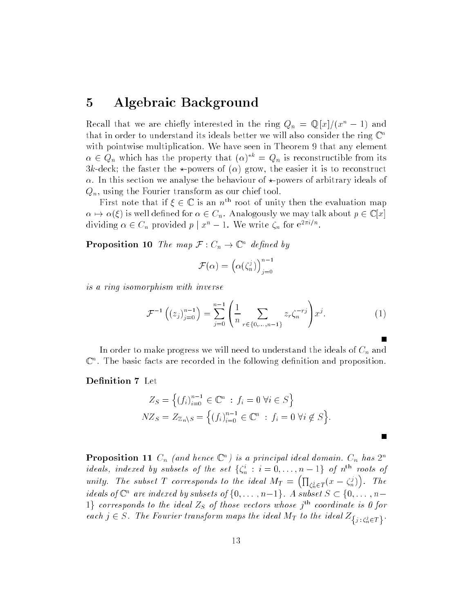#### 5 Algebraic Background

Recall that we are chiefly interested in the ring  $Q_n = \mathbb{Q}[x]/(x^n - 1)$  and that in order to understand its ideals better we will also consider the ring  $\mathbb{C}^n$ with pointwise multiplication. We have seen in Theorem 9 that any element  $\alpha \in Q_n$  which has the property that  $(\alpha) = Q_n$  is reconstructible from its 3k-deck; the faster the  $\star$ -powers of ( $\alpha$ ) grow, the easier it is to reconstruct  $\alpha$ . In this section we analyse the behaviour of  $\star$ -powers of arbitrary ideals of  $Q_n$ , using the Fourier transform as our chief tool.

First note that if  $\xi \in \mathbb{C}$  is an  $n^{\text{th}}$  root of unity then the evaluation map  $\alpha \mapsto \alpha(\xi)$  is well defined for  $\alpha \in C_n$ . Analogously we may talk about  $p \in \mathbb{C}[x]$ dividing  $\alpha \in \mathcal{C}_n$  provided  $p \mid x^* = 1$ . We write  $\zeta_n$  for e<sup>2114</sup>.

**Proposition 10** The map  $\mathcal{F}: C_n \to \mathbb{C}^n$  defined by

$$
\mathcal{F}(\alpha) = \left(\alpha(\zeta_n^j)\right)_{j=0}^{n-1}
$$

is a ring isomorphism with inverse

$$
\mathcal{F}^{-1}\left(\left(z_j\right)_{j=0}^{n-1}\right) = \sum_{j=0}^{n-1} \left(\frac{1}{n} \sum_{r \in \{0, \dots, n-1\}} z_r \zeta_n^{-rj}\right) x^j.
$$
 (1)

П

In order to make progress we will need to understand the ideals of  $C_n$  and  $\cup$  . The basic facts are recorded in the following definition and proposition.

Definition 7 Let

$$
Z_S = \left\{ (f_i)_{i=0}^{n-1} \in \mathbb{C}^n : f_i = 0 \,\forall i \in S \right\}
$$
  

$$
NZ_S = Z_{\mathbb{Z}_n \setminus S} = \left\{ (f_i)_{i=0}^{n-1} \in \mathbb{C}^n : f_i = 0 \,\forall i \notin S \right\}.
$$

**Proposition 11**  $C_n$  (and hence  $\mathbb{C}^n$ ) is a principal ideal domain.  $C_n$  has  $2^n$ ideals, indexed by subsets of the set  $\{\zeta_n : i = 0, \ldots, n-1\}$  of  $n^{**}$  roots of unity, the subset  $\mathbb{R}^n$  corresponds to the ideal  $\mathbb{R}^n$  $\sqrt{2}$  $\sim$  $j_{\in T}(x - \zeta_n)$ . Ine  $\sim$ taeals  $o \cup a$  are indexed by subsets  $o \cap \{0, \ldots, n-1\}$ . A subset  $\supset \cup \{0, \ldots, n-1\}$  $1$  corresponds to the ideal  $Z_S$  of those vectors whose  $j^{\mathrm{th}}$  coordinate is 0 for  $\sum_{i=1}^{n}$   $\sum_{i=1}^{n}$   $\sum_{i=1}^{n}$  for the integral maps the ideal  $\sum_{i=1}^{n}$  to the ideal  $\sum_{i=1}^{n}$   $\sum_{i=1}^{n}$   $\sum_{i=1}^{n}$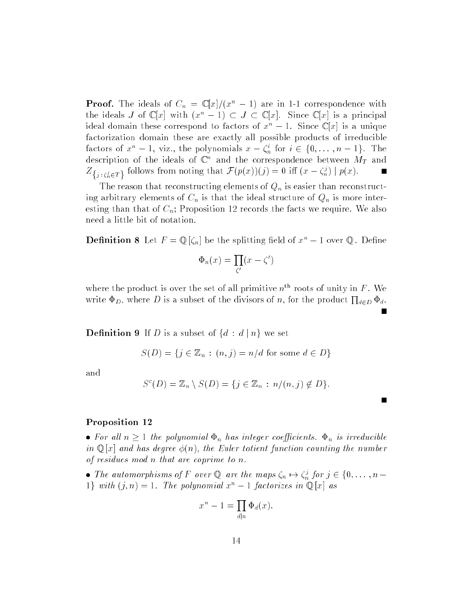**Proof.** The ideals of  $C_n = \mathbb{C}[x]/(x^n - 1)$  are in 1-1 correspondence with the ideals J of  $\mathbb{C}[x]$  with  $(x^n - 1) \subset J \subset \mathbb{C}[x]$ . Since  $\mathbb{C}[x]$  is a principal ideal domain these correspond to factors of  $x^n - 1$ . Since  $\mathbb{C}[x]$  is a unique factorization domain these are exactly all possible products of irreducible factors of  $x_1 = 1$ , viz., the polynomials  $x = \zeta_n$  for  $i \in \{0, \ldots, n-1\}$ . The description of the ideals of  $\mathbb C$  and the correspondence between  $M_T$  and  $Z\{j: \zeta_n^j \in T\}$  follows from noting that  $\mathcal{F}(p(x))(j) = 0$  in  $(x - \zeta_n^j) | p(x)$ .

The reason that reconstructing elements of  $Q_n$  is easier than reconstructing arbitrary elements of  $C_n$  is that the ideal structure of  $Q_n$  is more interesting than that of  $C_n$ ; Proposition 12 records the facts we require. We also need a little bit of notation.

**Definition 8** Let  $F = \mathbb{Q}[\zeta_n]$  be the splitting field of  $x^n - 1$  over  $\mathbb{Q}$ . Define

$$
\Phi_n(x) = \prod_{\zeta'}(x - \zeta')
$$

where the product is over the set of all primitive  $n<sup>th</sup>$  roots of unity in F. We write  $\Phi_D$ , where D is a subset of the divisors of n, for the product  $\prod_{d \in D} \Phi_d$ .

**Definition 9** If D is a subset of  $\{d : d \mid n\}$  we set

$$
S(D) = \{ j \in \mathbb{Z}_n : (n, j) = n/d \text{ for some } d \in D \}
$$

and

$$
S^{c}(D) = \mathbb{Z}_n \setminus S(D) = \{ j \in \mathbb{Z}_n : n/(n, j) \notin D \}.
$$

#### Proposition <sup>12</sup>

 $F \cdot \bullet$  and  $F \cdot \bullet$  is the polynomial  $\bullet$   $\bullet$  integer coefficients.  $\bullet$  if we discussed in  $\mathbb{Q}[x]$  and has degree  $\phi(n)$ , the Euler totient function counting the number of residues mod n that are coprime to n.

• The automorphisms of F over  $\mathbb{Q}$  are the maps  $\zeta_n \mapsto \zeta_n^s$  for  $j \in \{0, \ldots, n-1\}$ 1} with  $(j, n) = 1$ . The polynomial  $x^n - 1$  factorizes in  $\mathbb{Q}[x]$  as

$$
x^n - 1 = \prod_{d|n} \Phi_d(x).
$$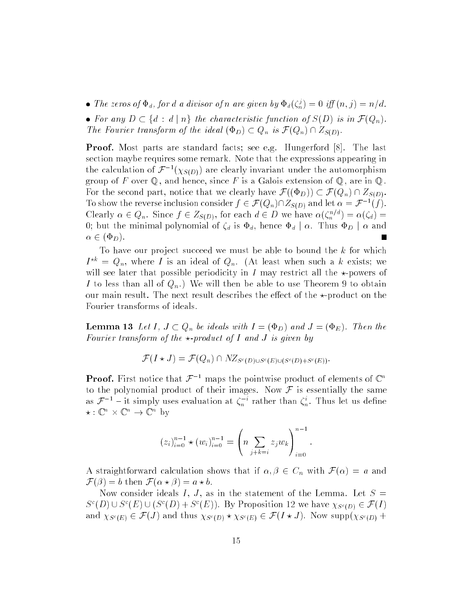$\bullet$  The zeros of  $\Psi_d$ , for a a aivisor of n are given by  $\Psi_d(\zeta_n^s) = 0$  iff  $(n, j) = n/a$ .

For any  $\Gamma$  is the characteristic function of  $\Gamma$  is in F( $\Gamma$ The Fourier transform of the ideal  $(\Phi_D) \subset Q_n$  is  $\mathcal{F}(Q_n) \cap Z_{S(D)}$ .

Proof. Most parts are standard facts; see e.g. Hungerford [8]. The last section maybe requires some remark. Note that the expressions appearing in the calculation of  $\mathcal{F}^{-1}(\chi_{S(D)})$  are clearly invariant under the automorphism group of F over  $\mathbb Q$ , and hence, since F is a Galois extension of  $\mathbb Q$ , are in  $\mathbb Q$ . For the second part, notice that we clearly have  $\mathcal{F}((\Phi_D)) \subset \mathcal{F}(Q_n) \cap Z_{S(D)}$ . To show the reverse inclusion consider  $f \in \mathcal{F}(Q_n)$   $\vert Z_{S(D)} \vert$  and let  $\alpha = \mathcal{F}^{-1}(f)$ . Clearly  $\alpha \in Q_n$ . Since  $f \in Z_{S(D)}$ , for each  $a \in D$  we have  $\alpha(\zeta_n)^{\dagger} = \alpha(\zeta_d) =$ 0; but the minimal polynomial of  $\zeta_d$  is  $\Phi_d$ , hence  $\Phi_d | \alpha$ . Thus  $\Phi_D | \alpha$  and  $\alpha \in (\Phi_D)$ .

To have our project succeed we must be able to bound the  $k$  for which  $I = Q_n$ , where I is an ideal of  $Q_n$ . (At least when such a k exists; we will see later that possible periodicity in I may restrict all the  $\star$ -powers of I to less than all of  $Q_n$ .) We will then be able to use Theorem 9 to obtain our main result. The next result describes the effect of the  $\star$ -product on the Fourier transforms of ideals.

**Lemma 13** Let I,  $J \subset Q_n$  be ideals with  $I = (\Phi_D)$  and  $J = (\Phi_E)$ . Then the Fourier transform of the  $\star$ -product of I and J is given by

$$
\mathcal{F}(I \star J) = \mathcal{F}(Q_n) \cap NZ_{S^c(D) \cup S^c(E) \cup (S^c(D) + S^c(E))}.
$$

**Proof.** First notice that  $\mathcal{F}^{-1}$  maps the pointwise product of elements of  $\mathbb{C}^n$ to the polynomial product of their images. Now  $\mathcal F$  is essentially the same as  $\mathcal{F}$  = - it simply uses evaluation at  $\zeta_n$ . Tather than  $\zeta_n$ . Thus let us define  $\star$  : U  $\times$  U  $\rightarrow$  U  $\times$  Dy

$$
(z_i)_{i=0}^{n-1} \star (w_i)_{i=0}^{n-1} = \left( n \sum_{j+k=i} z_j w_k \right)_{i=0}^{n-1}.
$$

A straightforward calculation shows that if  $\alpha, \beta \in C_n$  with  $\mathcal{F}(\alpha) = a$  and  $\mathcal{F}(\beta) = b$  then  $\mathcal{F}(\alpha \star \beta) = a \star b$ .

Now consider ideals I, J, as in the statement of the Lemma. Let  $S =$  $S^{+}(D) \cup S^{+}(E) \cup (S^{+}(D) + S^{+}(E))$ . By Proposition 12 we have  $\chi_{S^{c}(D)} \in \mathcal{F}(I)$ and  $\Lambda \beta$  [E]  $\sim$   $\bullet$  ( $\sigma$ ) and thus  $\Lambda \beta$  [D]  $\cap$   $\Lambda \beta$  [E]  $\sim$   $\bullet$  (+  $\land$   $\circ$  ). Now supp( $\Lambda \beta$  [D]  $\perp$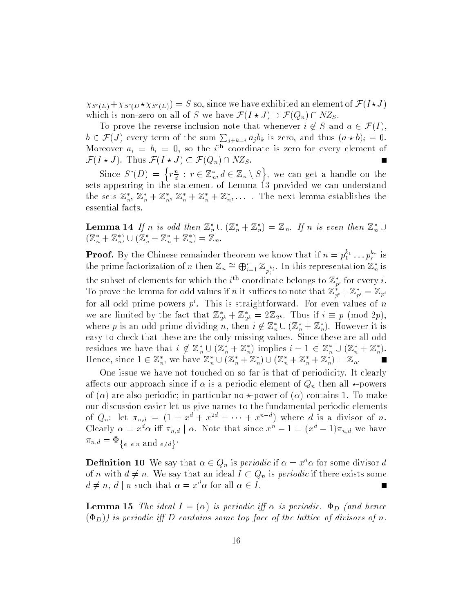$\Delta\vartheta^*(E) = \Delta\vartheta^*(E) - \Delta\vartheta^*(E)$  ) so so, since we have exhibited an element of  $\blacktriangledown$  (Fig. ). which is non-zero on all of S we have  $\mathcal{F}(I \star J) \supset \mathcal{F}(Q_n) \cap NZ_S$ .

To prove the reverse inclusion note that whenever  $i \notin S$  and  $a \in \mathcal{F}(I)$ ,  $b \in \mathcal{F}(J)$  every term of the sum  $\sum_{i+k=i} a_i b_k$  is zero, and thus  $(a * b)_i = 0$ . Moreover  $a_i = b_i = 0$ , so the  $i^{\text{th}}$  coordinate is zero for every element of  $\mathcal{F}(I \star J)$ . Thus  $\mathcal{F}(I \star J) \subset \mathcal{F}(Q_n) \cap NZ_S$ .

SHICE  $\mathcal{S}^{\dagger}(D)$  =  $r_{\overline{u}}$  $\overline{d}$  :  $r \in \mathbb{Z}_n, a \in \mathbb{Z}_n \setminus \mathcal{S}$ , we can get a handle on the canonical control on the canonical control on the canonical control on the canonical control on the case of  $\Lambda$ sets appearing in the statement of Lemma 13 provided we can understand the sets  $\mathbb{Z}_n$ ,  $\mathbb{Z}_n + \mathbb{Z}_n$ ,  $\mathbb{Z}_n + \mathbb{Z}_n + \mathbb{Z}_n$ ,.... The next lemma establishes the essential facts.

<sup>o</sup>

<sup>n</sup>

**Lemma 14** If n is odd then  $\mathbb{Z}_n^* \cup (\mathbb{Z}_n^* + \mathbb{Z}_n^*) = \mathbb{Z}_n$ . If n is even then  $\mathbb{Z}_n^* \cup$  $(\mathbb{Z}_n + \mathbb{Z}_n) \cup (\mathbb{Z}_n + \mathbb{Z}_n + \mathbb{Z}_n) = \mathbb{Z}_n.$ 

**Proof.** By the Chinese remainder theorem we know that if  $n = p_1^{\kappa_1} \dots p_r^{\kappa_r}$  is the prime factorization of n then  $\mathbb{Z}_n \cong \bigoplus_{i=1}^r \mathbb{Z}_{p_i^{k_i}}$ . In this representation  $\mathbb{Z}_n^*$  is the subset of elements for which the  $i^{\ldots}$  coordinate belongs to  $\mathbb{Z}_{p^i}$  for every  $i$ . To prove the lemma for odd values if n it sumces to note that  $\mathbb{Z}_{p^i} + \mathbb{Z}_{p^i} = \mathbb{Z}_{p^i}$ for all odd prime powers  $p$  . This is straightforward. For even values of  $n$ we are limited by the fact that  $\mathbb{Z}_{2^k} + \mathbb{Z}_{2^k} = 2\mathbb{Z}_{2^k}$ . Thus if  $i = p$  (mod  $2p$ ), where p is an odd prime dividing n, then  $i \notin \mathbb{Z}_n \cup (\mathbb{Z}_n + \mathbb{Z}_n)$ . However it is easy to check that these are the only missing values. Since these are all odd residues we have that  $i \notin \mathbb{Z}_n \cup (\mathbb{Z}_n + \mathbb{Z}_n)$  implies  $i - 1 \in \mathbb{Z}_n \cup (\mathbb{Z}_n + \mathbb{Z}_n)$ .  $\blacksquare$ Hence, since  $1 \in \mathbb{Z}_n$ , we have  $\mathbb{Z}_n \cup (\mathbb{Z}_n + \mathbb{Z}_n) \cup (\mathbb{Z}_n + \mathbb{Z}_n + \mathbb{Z}_n) = \mathbb{Z}_n$ .

One issue we have not touched on so far is that of periodicity. It clearly affects our approach since if  $\alpha$  is a periodic element of  $Q_n$  then all  $\star$ -powers of  $(\alpha)$  are also periodic; in particular no  $\star$ -power of  $(\alpha)$  contains 1. To make our discussion easier let us give names to the fundamental periodic elements of  $Q_n$ : let  $\pi_{n,d} = (1 + x^2 + x^2 + \cdots + x^d)$  where a is a divisor of n. Clearly  $\alpha = x \alpha$  in  $\pi_{n,d} \mid \alpha$ . Note that since  $x^{\alpha} - 1 = (x^{\alpha} - 1)\pi_{n,d}$  we have  $e : e \mid n$  and  $e \mid d$ 

**Definition 10** We say that  $\alpha \in Q_n$  is *periodic* if  $\alpha = x^d \alpha$  for some divisor d of n with  $d \neq n$ . We say that an ideal  $I \subset Q_n$  is *periodic* if there exists some  $a \neq n$ ,  $a + n$  such that  $\alpha = x \alpha$  for all  $\alpha \in I$ .

**Lemma 15** The ideal  $I = (\alpha)$  is periodic iff  $\alpha$  is periodic.  $\Phi_D$  (and hence  $(\Phi_D)$ ) is periodic iff D contains some top face of the lattice of divisors of n.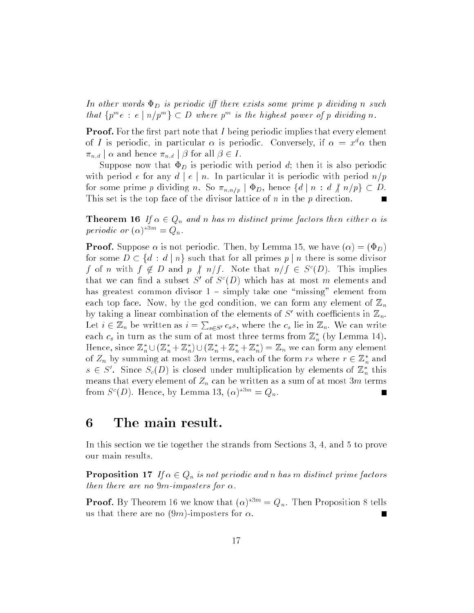In other words  $\Phi_D$  is periodic iff there exists some prime p dividing n such that  $\{p \mid e : e \mid n/p \} \subset D$  where  $p$  is the highest power of p arviaing n.

**Proof.** For the first part note that I being periodic implies that every element of I is periodic, in particular  $\alpha$  is periodic. Conversely, if  $\alpha = x^{\alpha} \alpha$  then  $\pi_{n,d} \mid \alpha$  and hence  $\pi_{n,d} \mid \beta$  for all  $\beta \in I$ .

Suppose now that  $\Phi_D$  is periodic with period d; then it is also periodic with period e for any  $d | e | n$ . In particular it is periodic with period  $n/p$ for some prime p dividing n. So  $\pi_{n,n/p}$   $\phi_D$ , hence  $\{d \mid n : d \nmid n/p\} \subset D$ . This set is the top face of the divisor lattice of  $n$  in the  $p$  direction.

**Theorem 16** If  $\alpha \in Q_n$  and n has m distinct prime factors then either  $\alpha$  is periodic or  $(\alpha)$  =  $\forall$ <sub>n</sub>.

**Proof.** Suppose  $\alpha$  is not periodic. Then, by Lemma 15, we have  $(\alpha) = (\Phi_D)$ for some  $D \subset \{d : d \mid n\}$  such that for all primes  $p \mid n$  there is some divisor f of n with  $f \notin D$  and  $p \notin n$  f . Note that  $n/f \in \mathcal{D}(D)$ . This implies that we can find a subset  $S$  of  $S^*(D)$  which has at most m elements and has greatest common divisor  $1 - \text{simply take one "missing" element from}$ each top face. Now, by the gcd condition, we can form any element of  $\mathbb{Z}_n$ by taking a imear combination of the elements of S with coefficients in  $\mathbb{Z}_n$ . Let  $i \in \mathbb{Z}_n$  be written as  $i = \sum_{s \in S'} c_s s$ , where the  $c_s$  lie in  $\mathbb{Z}_n$ . We can write each  $c_s$  in turn as the sum of at most three terms from  $\mathbb{Z}_n$  (by Lemma 14). Hence, since  $\mathbb{Z}_n \cup (\mathbb{Z}_n + \mathbb{Z}_n) \cup (\mathbb{Z}_n + \mathbb{Z}_n + \mathbb{Z}_n) = \mathbb{Z}_n$  we can form any element of  $Z_n$  by summing at most *3m* terms, each of the form rs where  $r \in \mathbb{Z}_n$  and  $s \in S$ . Since  $S_c(D)$  is closed under multiplication by elements of  $\mathbb{Z}_n$  this means that every element of  $Z_n$  can be written as a sum of at most 3m terms from  $S(U)$ . Hence, by Lemma 13,  $(\alpha)^{n-m} = Q_n$ .

#### 6 The main result.

In this section we tie together the strands from Sections 3, 4, and 5 to prove our main results.

**Proposition 17** If  $\alpha \in Q_n$  is not periodic and n has m distinct prime factors then there are no 9m-imposters for  $\alpha$ .

**Proof.** By Theorem 16 we know that  $(\alpha)^{*3m} = Q_n$ . Then Proposition 8 tells us that there are no  $(9m)$ -imposters for  $\alpha$ .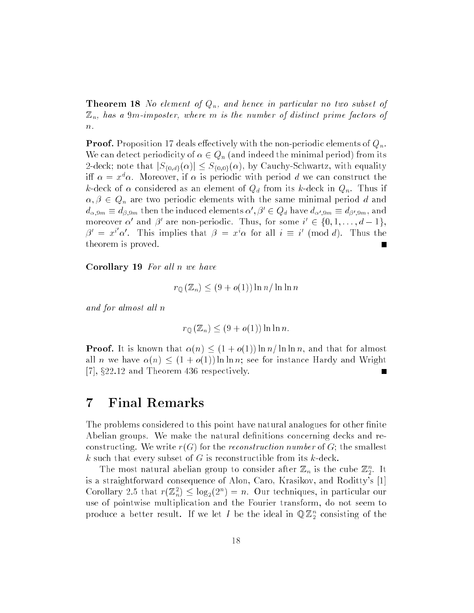**Theorem 18** No element of  $Q_n$ , and hence in particular no two subset of  $\mathbb{Z}_n$ , has a 9m-imposter, where m is the number of distinct prime factors of  $n$ .

**Proof.** Proposition 17 deals effectively with the non-periodic elements of  $Q_n$ . We can detect periodicity of  $\alpha \in Q_n$  (and indeed the minimal period) from its 2-deck; note that  $|S_{\{0,d\}}(\alpha)| \leq S_{\{0,0\}}(\alpha)$ , by Cauchy-Schwartz, with equality iff  $\alpha = x^{\alpha} \alpha$ . Moreover, if  $\alpha$  is periodic with period d we can construct the k-deck of  $\alpha$  considered as an element of  $Q_d$  from its k-deck in  $Q_n$ . Thus if  $\alpha, \beta \in Q_n$  are two periodic elements with the same minimal period d and  $a_{\alpha,9m}=a_{\beta,9m}$  then the induced elements  $\alpha\ ,\beta\ \in Q_d$  have  $a_{\alpha',9m}=a_{\beta',9m},$  and moreover  $\alpha$  and  $\beta$  are non-periodic. Thus, for some  $i \in \{0,1,\ldots,d-1\},$  $\beta' = x^i \alpha'$ . This implies that  $\beta = x^i \alpha$  for all  $i \equiv i' \pmod{d}$ . Thus the theorem is proved.

Corollary 19 For all n we have

$$
r_{\mathbb{Q}}(\mathbb{Z}_n) \le (9 + o(1)) \ln n / \ln \ln n
$$

and for almost all n

$$
r_{\mathbb{Q}}(\mathbb{Z}_n) \le (9 + o(1)) \ln \ln n.
$$

**Proof.** It is known that  $\alpha(n) \leq (1 + o(1)) \ln n / \ln \ln n$ , and that for almost all n we have  $\alpha(n) \leq (1 + o(1)) \ln \ln n$ ; see for instance Hardy and Wright [7],  $§22.12$  and Theorem 436 respectively.

### 7 Final Remarks

The problems considered to this point have natural analogues for other finite Abelian groups. We make the natural definitions concerning decks and reconstructing. We write  $r(G)$  for the *reconstruction number* of G; the smallest k such that every subset of G is reconstructible from its  $k$ -deck.

The most natural abelian group to consider after  $\mathbb{Z}_n$  is the cube  $\mathbb{Z}_2^{\times}$ . It is a straightforward consequence of Alon, Caro, Krasikov, and Roditty's [1] Corollary 2.5 that  $r(\mathbb{Z}_n^{\times}) \leq \log_2(2^{n}) = n$ . Our techniques, in particular our use of pointwise multiplication and the Fourier transform, do not seem to produce a better result. If we let I be the ideal in  $\mathbb{Q} \mathbb{Z}_2^2$  consisting of the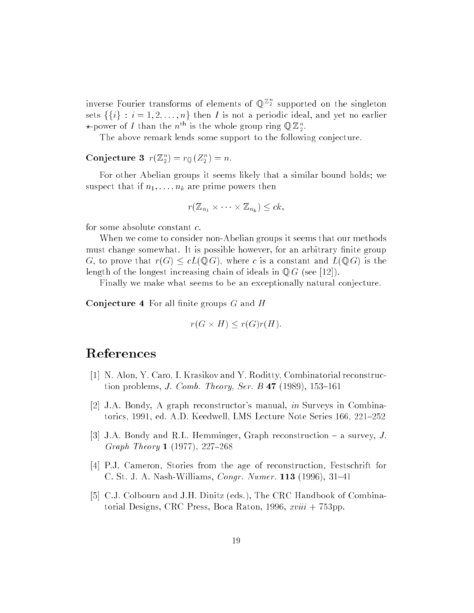inverse Fourier transforms of elements of  $\mathbb{Q}^{\mathbb{Z}_2}$  supported on the singleton sets  $\{\{i\} : i = 1, 2, \ldots, n\}$  then *I* is not a periodic ideal, and yet no earlier  $\star$ -power of 1 than the n<sup>on</sup> is the whole group ring  $\mathcal{Q} \mathbb{Z}_2^{\times}$ .

The above remark lends some support to the following conjecture.

 $\bf{Conjecture\ 3}\ \ r(\mathbb{Z}_2^n)=r_{\mathbb{Q}}\left( Z_{2}^{n}\right) =n\rm{.}$ 

For other Abelian groups it seems likely that a similar bound holds; we suspect that if  $n_1, \ldots, n_k$  are prime powers then

$$
r(\mathbb{Z}_{n_1}\times\cdots\times\mathbb{Z}_{n_k})\leq ck,
$$

for some absolute constant c.

When we come to consider non-Abelian groups it seems that our methods must change somewhat. It is possible however, for an arbitrary finite group G, to prove that  $r(G) \leq cL(\mathbb{Q} G)$ , where c is a constant and  $L(\mathbb{Q} G)$  is the length of the longest increasing chain of ideals in  $\mathbb{Q} G$  (see [12]).

Finally we make what seems to be an exceptionally natural conjecture.

**Conjecture 4** For all finite groups  $G$  and  $H$ 

$$
r(G \times H) \le r(G)r(H).
$$

#### References

- [1] N. Alon, Y. Caro, I. Krasikov and Y. Roditty, Combinatorial reconstruction problems, J. Comb. Theory, Ser. B  $47$  (1989), 153-161
- [2] J.A. Bondy, A graph reconstructor's manual, in Surveys in Combinatorics, 1991, ed. A.D. Keedwell, LMS Lecture Note Series 166, 221-252
- [3] J.A. Bondy and R.L. Hemminger, Graph reconstruction  $-$  a survey, J. Graph Theory 1 (1977), 227-268
- [4] P.J. Cameron, Stories from the age of reconstruction, Festschrift for C. St. J. A. Nash-Williams, *Congr. Numer*. **113** (1996), 31-41
- [5] C.J. Colbourn and J.H. Dinitz (eds.), The CRC Handbook of Combinatorial Designs, CRC Press, Boca Raton, 1996, xviii + 753pp.